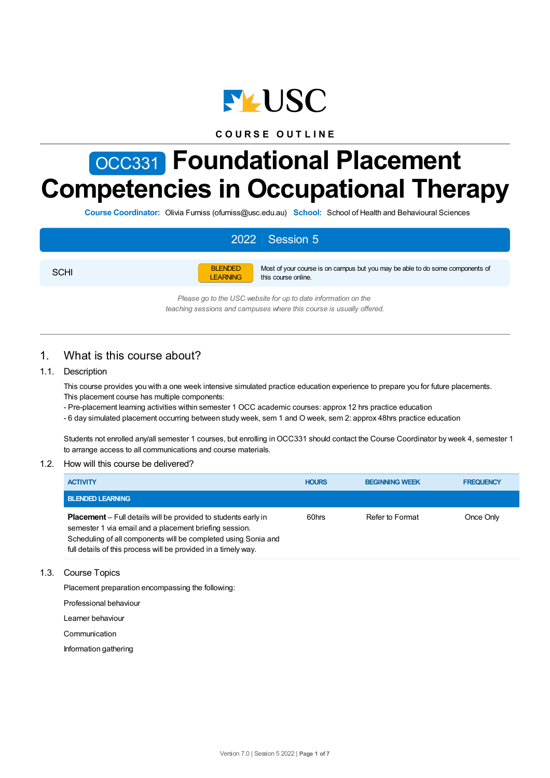

## **C O U R S E O U T L I N E**

# OCC331 **Foundational Placement Competencies in Occupational Therapy**

**Course Coordinator:** Olivia Furniss (ofurniss@usc.edu.au) **School:** School of Health and Behavioural Sciences

# 2022 Session 5

**SCHI** 



Most of your course is on campus but you may be able to do some components of this course online.

*Please go to the USC website for up to date information on the teaching sessions and campuses where this course is usually offered.*

## 1. What is this course about?

## 1.1. Description

This course provides you with a one week intensive simulated practice education experience to prepare you for future placements. This placement course has multiple components:

- Pre-placement learning activities within semester 1 OCC academic courses: approx 12 hrs practice education
- 6 day simulated placement occurring between study week, sem 1 and O week, sem 2: approx 48hrs practice education

Students not enrolled any/all semester 1 courses, but enrolling in OCC331 should contact the Course Coordinator by week 4, semester 1 to arrange access to all communications and course materials.

## 1.2. How will this course be delivered?

| <b>ACTIVITY</b>                                                                                                                                                                                                                                                     | <b>HOURS</b> | <b>BEGINNING WEEK</b> | <b>FREQUENCY</b> |
|---------------------------------------------------------------------------------------------------------------------------------------------------------------------------------------------------------------------------------------------------------------------|--------------|-----------------------|------------------|
| <b>BLENDED LEARNING</b>                                                                                                                                                                                                                                             |              |                       |                  |
| <b>Placement</b> – Full details will be provided to students early in<br>semester 1 via email and a placement briefing session.<br>Scheduling of all components will be completed using Sonia and<br>full details of this process will be provided in a timely way. | 60hrs        | Refer to Format       | Once Only        |

## 1.3. Course Topics

Placement preparation encompassing the following:

Professional behaviour

Learner behaviour

**Communication** 

Information gathering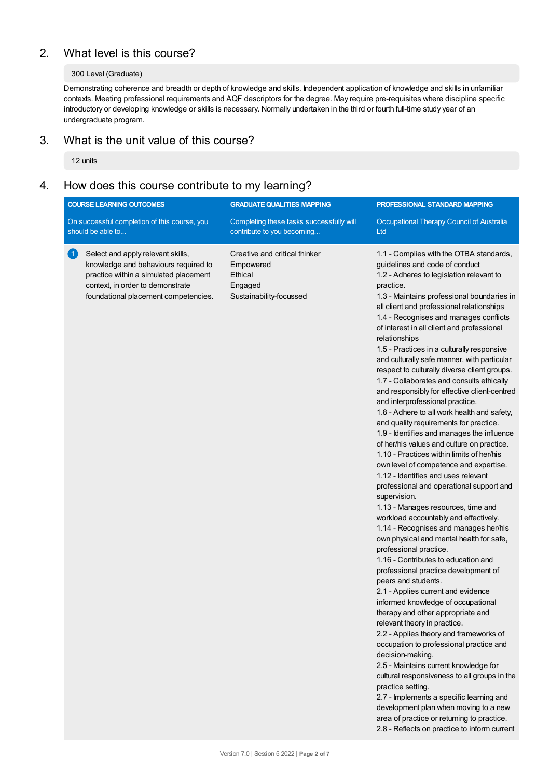# 2. What level is this course?

## 300 Level (Graduate)

Demonstrating coherence and breadth or depth of knowledge and skills. Independent application of knowledge and skills in unfamiliar contexts. Meeting professional requirements and AQF descriptors for the degree. May require pre-requisites where discipline specific introductory or developing knowledge or skills is necessary. Normally undertaken in the third or fourth full-time study year of an undergraduate program.

# 3. What is the unit value of this course?

12 units

## 4. How does this course contribute to my learning?

| <b>COURSE LEARNING OUTCOMES</b>                                                                                                                                                                       | <b>GRADUATE QUALITIES MAPPING</b>                                                           | PROFESSIONAL STANDARD MAPPING                                                                                                                                                                                                                                                                                                                                                                                                                                                                                                                                                                                                                                                                                                                                                                                                                                                                                                                                                                                                                                                                                                                                                                                                                                                                                                                                                                                                                                                                                                                                                                                                                                                                                                                                                                                                                                     |  |
|-------------------------------------------------------------------------------------------------------------------------------------------------------------------------------------------------------|---------------------------------------------------------------------------------------------|-------------------------------------------------------------------------------------------------------------------------------------------------------------------------------------------------------------------------------------------------------------------------------------------------------------------------------------------------------------------------------------------------------------------------------------------------------------------------------------------------------------------------------------------------------------------------------------------------------------------------------------------------------------------------------------------------------------------------------------------------------------------------------------------------------------------------------------------------------------------------------------------------------------------------------------------------------------------------------------------------------------------------------------------------------------------------------------------------------------------------------------------------------------------------------------------------------------------------------------------------------------------------------------------------------------------------------------------------------------------------------------------------------------------------------------------------------------------------------------------------------------------------------------------------------------------------------------------------------------------------------------------------------------------------------------------------------------------------------------------------------------------------------------------------------------------------------------------------------------------|--|
| On successful completion of this course, you<br>should be able to                                                                                                                                     | Completing these tasks successfully will<br>contribute to you becoming                      | Occupational Therapy Council of Australia<br>Ltd                                                                                                                                                                                                                                                                                                                                                                                                                                                                                                                                                                                                                                                                                                                                                                                                                                                                                                                                                                                                                                                                                                                                                                                                                                                                                                                                                                                                                                                                                                                                                                                                                                                                                                                                                                                                                  |  |
| (1)<br>Select and apply relevant skills,<br>knowledge and behaviours required to<br>practice within a simulated placement<br>context, in order to demonstrate<br>foundational placement competencies. | Creative and critical thinker<br>Empowered<br>Ethical<br>Engaged<br>Sustainability-focussed | 1.1 - Complies with the OTBA standards,<br>guidelines and code of conduct<br>1.2 - Adheres to legislation relevant to<br>practice.<br>1.3 - Maintains professional boundaries in<br>all client and professional relationships<br>1.4 - Recognises and manages conflicts<br>of interest in all client and professional<br>relationships<br>1.5 - Practices in a culturally responsive<br>and culturally safe manner, with particular<br>respect to culturally diverse client groups.<br>1.7 - Collaborates and consults ethically<br>and responsibly for effective client-centred<br>and interprofessional practice.<br>1.8 - Adhere to all work health and safety,<br>and quality requirements for practice.<br>1.9 - Identifies and manages the influence<br>of her/his values and culture on practice.<br>1.10 - Practices within limits of her/his<br>own level of competence and expertise.<br>1.12 - Identifies and uses relevant<br>professional and operational support and<br>supervision.<br>1.13 - Manages resources, time and<br>workload accountably and effectively.<br>1.14 - Recognises and manages her/his<br>own physical and mental health for safe,<br>professional practice.<br>1.16 - Contributes to education and<br>professional practice development of<br>peers and students.<br>2.1 - Applies current and evidence<br>informed knowledge of occupational<br>therapy and other appropriate and<br>relevant theory in practice.<br>2.2 - Applies theory and frameworks of<br>occupation to professional practice and<br>decision-making.<br>2.5 - Maintains current knowledge for<br>cultural responsiveness to all groups in the<br>practice setting.<br>2.7 - Implements a specific learning and<br>development plan when moving to a new<br>area of practice or returning to practice.<br>2.8 - Reflects on practice to inform current |  |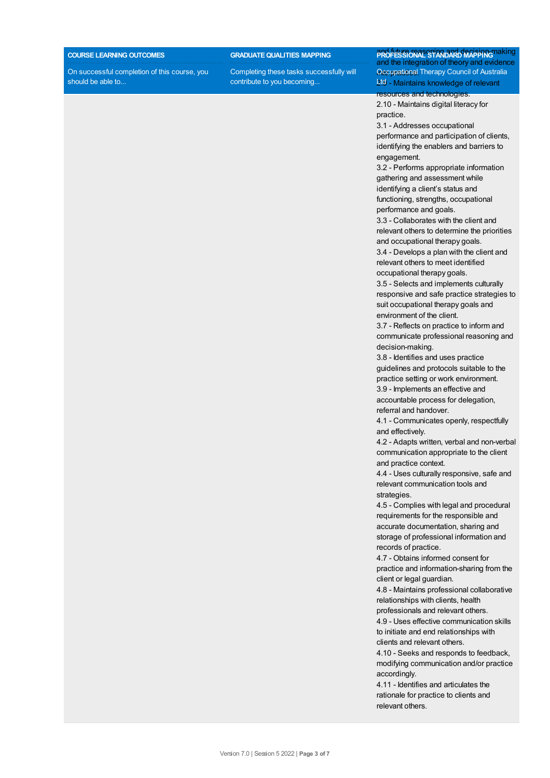#### **COURSE LEARNING OUTCOMES**

On successful completion of this course, you should be able to...

**GRADUATEQUALITIES MAPPING**

Completing these tasks successfully will contribute to you becoming...

**PROFESSIONAL STANDARD MAPPING MARING** and the integration of theory and evidence Occupational Therapy Council of Australia 2.0 - Maintains knowledge of relevant resources and technologies.

2.10 - Maintains digital literacy for practice.

3.1 - Addresses occupational performance and participation of clients, identifying the enablers and barriers to engagement.

3.2 - Performs appropriate information gathering and assessment while identifying a client's status and functioning, strengths, occupational performance and goals.

3.3 - Collaborates with the client and relevant others to determine the priorities and occupational therapy goals.

3.4 - Develops a plan with the client and relevant others to meet identified occupational therapy goals.

3.5 - Selects and implements culturally responsive and safe practice strategies to suit occupational therapy goals and environment of the client.

3.7 - Reflects on practice to inform and communicate professional reasoning and decision-making.

3.8 - Identifies and uses practice guidelines and protocols suitable to the practice setting or work environment.

3.9 - Implements an effective and accountable process for delegation, referral and handover.

4.1 - Communicates openly, respectfully and effectively.

4.2 - Adapts written, verbal and non-verbal communication appropriate to the client and practice context.

4.4 - Uses culturally responsive, safe and relevant communication tools and strategies.

4.5 - Complies with legal and procedural requirements for the responsible and accurate documentation, sharing and storage of professional information and records of practice.

4.7 - Obtains informed consent for practice and information-sharing from the client or legal guardian.

4.8 - Maintains professional collaborative relationships with clients, health

professionals and relevant others.

4.9 - Uses effective communication skills to initiate and end relationships with clients and relevant others.

4.10 - Seeks and responds to feedback, modifying communication and/or practice accordingly.

4.11 - Identifies and articulates the rationale for practice to clients and relevant others.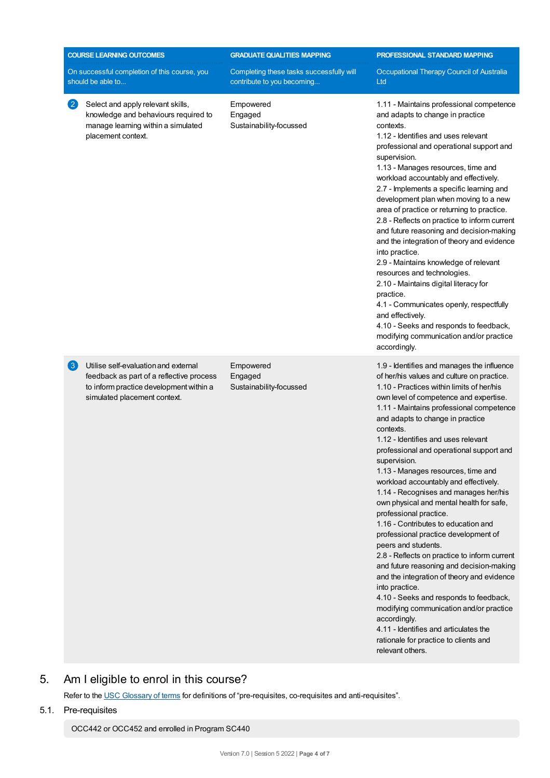|                                                                   | <b>COURSE LEARNING OUTCOMES</b>                                                                                                                             | <b>GRADUATE QUALITIES MAPPING</b>                                      | PROFESSIONAL STANDARD MAPPING                                                                                                                                                                                                                                                                                                                                                                                                                                                                                                                                                                                                                                                                                                                                                                                                                                                                                                                                                                                                                              |  |
|-------------------------------------------------------------------|-------------------------------------------------------------------------------------------------------------------------------------------------------------|------------------------------------------------------------------------|------------------------------------------------------------------------------------------------------------------------------------------------------------------------------------------------------------------------------------------------------------------------------------------------------------------------------------------------------------------------------------------------------------------------------------------------------------------------------------------------------------------------------------------------------------------------------------------------------------------------------------------------------------------------------------------------------------------------------------------------------------------------------------------------------------------------------------------------------------------------------------------------------------------------------------------------------------------------------------------------------------------------------------------------------------|--|
| On successful completion of this course, you<br>should be able to |                                                                                                                                                             | Completing these tasks successfully will<br>contribute to you becoming | Occupational Therapy Council of Australia<br>Ltd                                                                                                                                                                                                                                                                                                                                                                                                                                                                                                                                                                                                                                                                                                                                                                                                                                                                                                                                                                                                           |  |
| $\left[ 2\right]$                                                 | Select and apply relevant skills,<br>knowledge and behaviours required to<br>manage learning within a simulated<br>placement context.                       | Empowered<br>Engaged<br>Sustainability-focussed                        | 1.11 - Maintains professional competence<br>and adapts to change in practice<br>contexts.<br>1.12 - Identifies and uses relevant<br>professional and operational support and<br>supervision.<br>1.13 - Manages resources, time and<br>workload accountably and effectively.<br>2.7 - Implements a specific learning and<br>development plan when moving to a new<br>area of practice or returning to practice.<br>2.8 - Reflects on practice to inform current<br>and future reasoning and decision-making<br>and the integration of theory and evidence<br>into practice.<br>2.9 - Maintains knowledge of relevant<br>resources and technologies.<br>2.10 - Maintains digital literacy for<br>practice.<br>4.1 - Communicates openly, respectfully<br>and effectively.<br>4.10 - Seeks and responds to feedback,<br>modifying communication and/or practice<br>accordingly.                                                                                                                                                                               |  |
| 3                                                                 | Utilise self-evaluation and external<br>feedback as part of a reflective process<br>to inform practice development within a<br>simulated placement context. | Empowered<br>Engaged<br>Sustainability-focussed                        | 1.9 - Identifies and manages the influence<br>of her/his values and culture on practice.<br>1.10 - Practices within limits of her/his<br>own level of competence and expertise.<br>1.11 - Maintains professional competence<br>and adapts to change in practice<br>contexts.<br>1.12 - Identifies and uses relevant<br>professional and operational support and<br>supervision.<br>1.13 - Manages resources, time and<br>workload accountably and effectively.<br>1.14 - Recognises and manages her/his<br>own physical and mental health for safe,<br>professional practice.<br>1.16 - Contributes to education and<br>professional practice development of<br>peers and students.<br>2.8 - Reflects on practice to inform current<br>and future reasoning and decision-making<br>and the integration of theory and evidence<br>into practice.<br>4.10 - Seeks and responds to feedback,<br>modifying communication and/or practice<br>accordingly.<br>4.11 - Identifies and articulates the<br>rationale for practice to clients and<br>relevant others. |  |

# 5. Am Ieligible to enrol in this course?

Refer to the USC [Glossary](https://www.usc.edu.au/about/policies-and-procedures/glossary-of-terms-for-policy-and-procedures) of terms for definitions of "pre-requisites, co-requisites and anti-requisites".

5.1. Pre-requisites

OCC442 or OCC452 and enrolled in Program SC440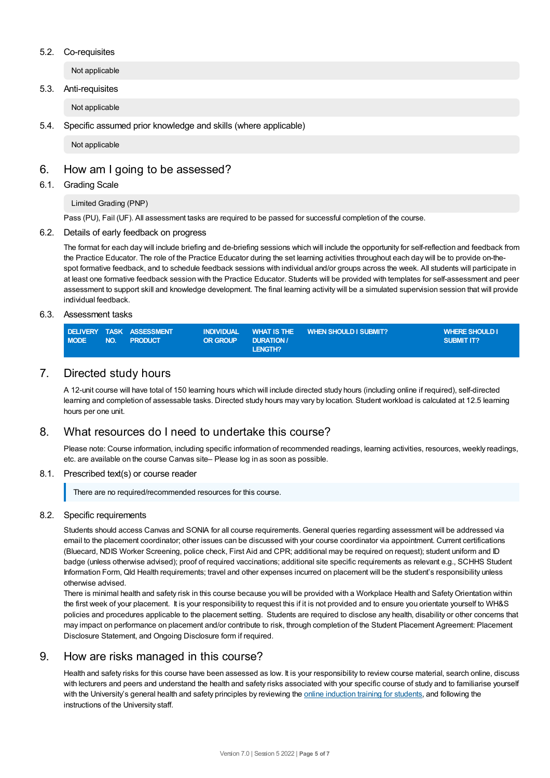## 5.2. Co-requisites

Not applicable

## 5.3. Anti-requisites

Not applicable

## 5.4. Specific assumed prior knowledge and skills (where applicable)

Not applicable

## 6. How am Igoing to be assessed?

## 6.1. Grading Scale

Limited Grading (PNP)

Pass (PU), Fail (UF). All assessment tasks are required to be passed for successful completion of the course.

## 6.2. Details of early feedback on progress

The format for each day will include briefing and de-briefing sessions which will include the opportunity for self-reflection and feedback from the Practice Educator. The role of the Practice Educator during the set learning activities throughout each day will be to provide on-thespot formative feedback, and to schedule feedback sessions with individual and/or groups across the week. All students will participate in at least one formative feedback session with the Practice Educator. Students will be provided with templates for self-assessment and peer assessment to support skill and knowledge development. The final learning activity will be a simulated supervision session that will provide individual feedback.

## 6.3. Assessment tasks

|             |     | DELIVERY TASK ASSESSMENT |          |                 | INDIVIDUAL WHAT IS THE WHEN SHOULD I SUBMIT? | <b>WHERE SHOULD I</b> |
|-------------|-----|--------------------------|----------|-----------------|----------------------------------------------|-----------------------|
| <b>MODE</b> | NO. | <b>PRODUCT</b>           | OR GROUP | <b>DURATION</b> |                                              | SUBMIT IT?            |
|             |     |                          |          | LENGTH?         |                                              |                       |

## 7. Directed study hours

A 12-unit course will have total of 150 learning hours which will include directed study hours (including online if required), self-directed learning and completion of assessable tasks. Directed study hours may vary by location. Student workload is calculated at 12.5 learning hours per one unit.

## 8. What resources do I need to undertake this course?

Please note: Course information, including specific information of recommended readings, learning activities, resources, weekly readings, etc. are available on the course Canvas site– Please log in as soon as possible.

## 8.1. Prescribed text(s) or course reader

There are no required/recommended resources for this course.

## 8.2. Specific requirements

Students should access Canvas and SONIA for all course requirements. General queries regarding assessment will be addressed via email to the placement coordinator; other issues can be discussed with your course coordinator via appointment. Current certifications (Bluecard, NDIS Worker Screening, police check, First Aid and CPR; additional may be required on request); student uniform and ID badge (unless otherwise advised); proof of required vaccinations; additional site specific requirements as relevant e.g., SCHHS Student Information Form, Qld Health requirements; travel and other expenses incurred on placement will be the student's responsibility unless otherwise advised.

There is minimal health and safety risk in this course because you will be provided with a Workplace Health and Safety Orientation within the first week of your placement. It is your responsibility to request this if it is not provided and to ensure you orientate yourself to WH&S policies and procedures applicable to the placement setting. Students are required to disclose any health, disability or other concerns that may impact on performance on placement and/or contribute to risk, through completion of the Student Placement Agreement: Placement Disclosure Statement, and Ongoing Disclosure form if required.

## 9. How are risks managed in this course?

Health and safety risks for this course have been assessed as low. It is your responsibility to review course material, search online, discuss with lecturers and peers and understand the health and safety risks associated with your specific course of study and to familiarise yourself with the University's general health and safety principles by reviewing the online [induction](https://online.usc.edu.au/webapps/blackboard/content/listContentEditable.jsp?content_id=_632657_1&course_id=_14432_1) training for students, and following the instructions of the University staff.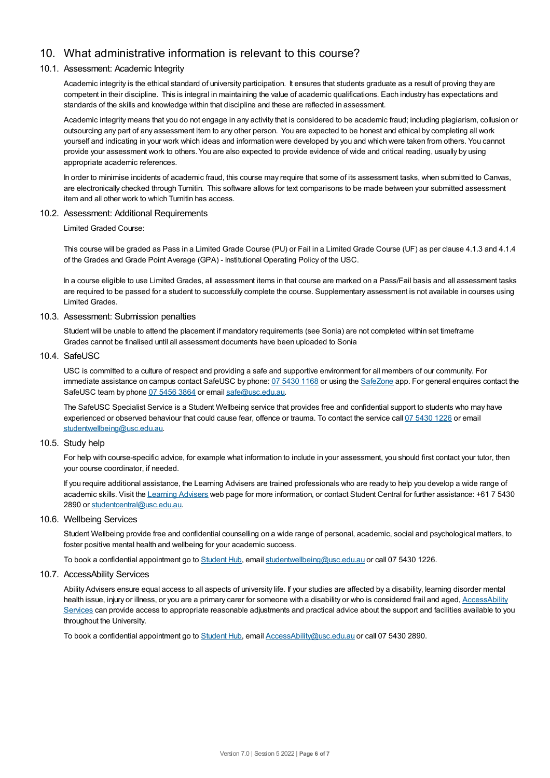# 10. What administrative information is relevant to this course?

## 10.1. Assessment: Academic Integrity

Academic integrity is the ethical standard of university participation. It ensures that students graduate as a result of proving they are competent in their discipline. This is integral in maintaining the value of academic qualifications. Each industry has expectations and standards of the skills and knowledge within that discipline and these are reflected in assessment.

Academic integrity means that you do not engage in any activity that is considered to be academic fraud; including plagiarism, collusion or outsourcing any part of any assessment item to any other person. You are expected to be honest and ethical by completing all work yourself and indicating in your work which ideas and information were developed by you and which were taken from others. You cannot provide your assessment work to others.You are also expected to provide evidence of wide and critical reading, usually by using appropriate academic references.

In order to minimise incidents of academic fraud, this course may require that some of its assessment tasks, when submitted to Canvas, are electronically checked through Turnitin. This software allows for text comparisons to be made between your submitted assessment item and all other work to which Turnitin has access.

## 10.2. Assessment: Additional Requirements

Limited Graded Course:

This course will be graded as Pass in a Limited Grade Course (PU) or Fail in a Limited Grade Course (UF) as per clause 4.1.3 and 4.1.4 of the Grades and Grade Point Average (GPA) - Institutional Operating Policy of the USC.

In a course eligible to use Limited Grades, all assessment items in that course are marked on a Pass/Fail basis and all assessment tasks are required to be passed for a student to successfully complete the course. Supplementary assessment is not available in courses using Limited Grades.

## 10.3. Assessment: Submission penalties

Student will be unable to attend the placement if mandatory requirements (see Sonia) are not completed within set timeframe Grades cannot be finalised until all assessment documents have been uploaded to Sonia

## 10.4. SafeUSC

USC is committed to a culture of respect and providing a safe and supportive environment for all members of our community. For immediate assistance on campus contact SafeUSC by phone: 07 [5430](tel:07%205430%201168) 1168 or using the [SafeZone](https://www.safezoneapp.com) app. For general enquires contact the SafeUSC team by phone 07 [5456](tel:07%205456%203864) 3864 or email [safe@usc.edu.au](mailto:safe@usc.edu.au).

The SafeUSC Specialist Service is a Student Wellbeing service that provides free and confidential support to students who may have experienced or observed behaviour that could cause fear, offence or trauma. To contact the service call 07 [5430](tel:07%205430%201226) 1226 or email [studentwellbeing@usc.edu.au](mailto:studentwellbeing@usc.edu.au).

## 10.5. Study help

For help with course-specific advice, for example what information to include in your assessment, you should first contact your tutor, then your course coordinator, if needed.

If you require additional assistance, the Learning Advisers are trained professionals who are ready to help you develop a wide range of academic skills. Visit the Learning [Advisers](https://www.usc.edu.au/current-students/student-support/academic-and-study-support/learning-advisers) web page for more information, or contact Student Central for further assistance: +61 7 5430 2890 or [studentcentral@usc.edu.au](mailto:studentcentral@usc.edu.au).

## 10.6. Wellbeing Services

Student Wellbeing provide free and confidential counselling on a wide range of personal, academic, social and psychological matters, to foster positive mental health and wellbeing for your academic success.

To book a confidential appointment go to [Student](https://studenthub.usc.edu.au/) Hub, email [studentwellbeing@usc.edu.au](mailto:studentwellbeing@usc.edu.au) or call 07 5430 1226.

## 10.7. AccessAbility Services

Ability Advisers ensure equal access to all aspects of university life. If your studies are affected by a disability, learning disorder mental health issue, injury or illness, or you are a primary carer for someone with a disability or who is considered frail and aged, [AccessAbility](https://www.usc.edu.au/learn/student-support/accessability-services/documentation-requirements) Services can provide access to appropriate reasonable adjustments and practical advice about the support and facilities available to you throughout the University.

To book a confidential appointment go to [Student](https://studenthub.usc.edu.au/) Hub, email [AccessAbility@usc.edu.au](mailto:AccessAbility@usc.edu.au) or call 07 5430 2890.